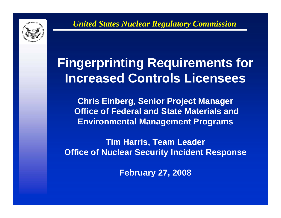

# **Fingerprinting Requirements for Increased Controls Licensees**

**Chris Einberg, Senior Project Manager Office of Federal and State Materials and Environmental Management Programs**

**Tim Harris, Team Leader Office of Nuclear Security Incident Response**

**February 27, 2008**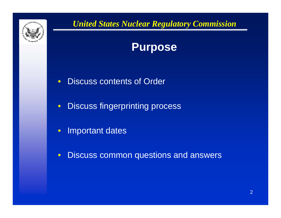

## **Purpose**

- $\bullet$ Discuss contents of Order
- $\bullet$ Discuss fingerprinting process
- $\bullet$ Important dates
- $\bullet$ Discuss common questions and answers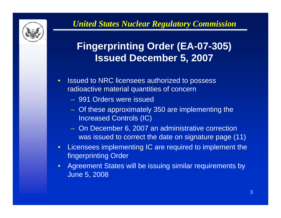

# **Fingerprinting Order (EA-07-305) Issued December 5, 2007**

- • Issued to NRC licensees authorized to possess radioactive material quantities of concern
	- 991 Orders were issued
	- Of these approximately 350 are implementing the Increased Controls (IC)
	- On December 6, 2007 an administrative correction was issued to correct the date on signature page (11)
- $\bullet$  Licensees implementing IC are required to implement the fingerprinting Order
- $\bullet$  Agreement States will be issuing similar requirements by June 5, 2008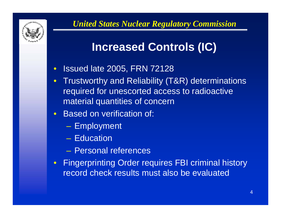

# **Increased Controls (IC)**

- $\bullet$ Issued late 2005, FRN 72128
- $\bullet$  Trustworthy and Reliability (T&R) determinations required for unescorted access to radioactive material quantities of concern
- $\bullet$  Based on verification of:
	- Employment
	- Education
	- Personal references
- $\bullet$  Fingerprinting Order requires FBI criminal history record check results must also be evaluated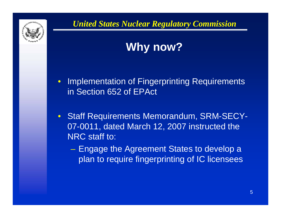

# **Why now?**

- $\bullet$  Implementation of Fingerprinting Requirements in Section 652 of EPAct
- $\bullet$  Staff Requirements Memorandum, SRM-SECY-07-0011, dated March 12, 2007 instructed the NRC staff to:
	- Engage the Agreement States to develop a plan to require fingerprinting of IC licensees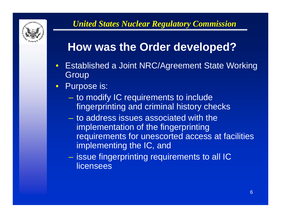

# **How was the Order developed?**

- $\bullet$  Established a Joint NRC/Agreement State Working **Group**
- $\bullet$  Purpose is:
	- –- to modify IC requirements to include fingerprinting and criminal history checks
	- to address issues associated with the implementation of the fingerprinting requirements for unescorted access at facilities implementing the IC, and
	- $-$  issue fingerprinting requirements to all IC  $\,$ licensees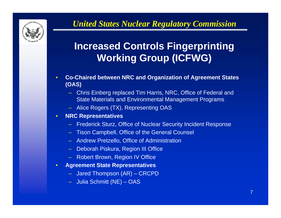

# **Increased Controls Fingerprinting Working Group (ICFWG)**

- • **Co-Chaired between NRC and Organization of Agreement States (OAS)**
	- Chris Einberg replaced Tim Harris, NRC, Office of Federal and State Materials and Environmental Management Programs
	- Alice Rogers (TX), Representing OAS
- $\bullet$  **NRC Representatives**
	- Frederick Sturz, Office of Nuclear Security Incident Response
	- Tison Campbell, Office of the General Counsel
	- Andrew Pretzello, Office of Administration
	- Deborah Piskura, Region III Office
	- Robert Brown, Region IV Office
- • **Agreement State Representatives**
	- Jared Thompson (AR) CRCPD
	- Julia Schmitt (NE) OAS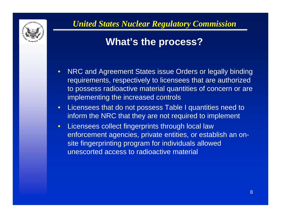

# **What's the process?**

- $\bullet$  NRC and Agreement States issue Orders or legally binding requirements, respectively to licensees that are authorized to possess radioactive material quantities of concern or are implementing the increased controls
- $\bullet$  Licensees that do not possess Table I quantities need to inform the NRC that they are not required to implement
- $\bullet$  Licensees collect fingerprints through local law enforcement agencies, private entities, or establish an onsite fingerprinting program for individuals allowed unescorted access to radioactive material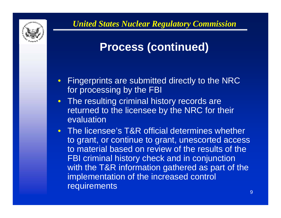

# **Process (continued)**

- $\bullet$  Fingerprints are submitted directly to the NRC for processing by the FBI
- The resulting criminal history records are returned to the licensee by the NRC for their evaluation
- The licensee's T&R official determines whether to grant, or continue to grant, unescorted access to material based on review of the results of the FBI criminal history check and in conjunction with the T&R information gathered as part of the implementation of the increased control requirements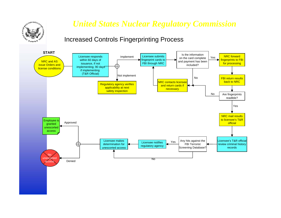

#### Increased Controls Fingerprinting Process

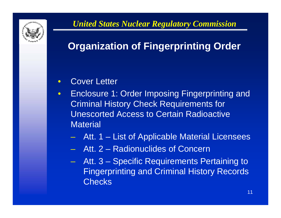

# **Organization of Fingerprinting Order**

#### $\bullet$ Cover Letter

- $\bullet$  Enclosure 1: Order Imposing Fingerprinting and Criminal History Check Requirements for Unescorted Access to Certain Radioactive **Material** 
	- Att. 1 List of Applicable Material Licensees
	- Att. 2 Radionuclides of Concern
	- –Att. 3 – Specific Requirements Pertaining to Fingerprinting and Criminal History Records **Checks**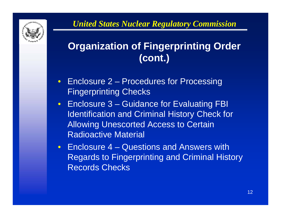

# **Organization of Fingerprinting Order (cont.)**

- Enclosure 2 Procedures for Processing Fingerprinting Checks
- Enclosure 3 Guidance for Evaluating FBI Identification and Criminal History Check for Allowing Unescorted Access to Certain Radioactive Material
- Enclosure 4 Questions and Answers with Regards to Fingerprinting and Criminal History Records Checks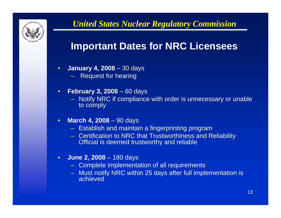

### **Important Dates for NRC Licensees**

- $\bullet$  **January 4, 2008** – 30 days
	- Request for hearing
- $\bullet$  **February 3, 2008** – 60 days
	- Notify NRC if compliance with order is unnecessary or unable to comply
- $\bullet$  **March 4, 2008** – 90 days
	- Establish and maintain a fingerprinting program
	- Certification to NRC that Trustworthiness and Reliability Official is deemed trustworthy and reliable
- $\bullet$  **June 2, 2008** – 180 days
	- Complete implementation of all requirements
	- Must notify NRC within 25 days after full implementation is achieved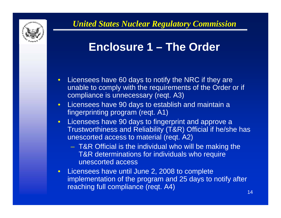

# **Enclosure 1 – The Order**

- Licensees have 60 days to notify the NRC if they are unable to comply with the requirements of the Order or if compliance is unnecessary (reqt. A3)
- $\bullet$  Licensees have 90 days to establish and maintain a fingerprinting program (reqt. A1)
- Licensees have 90 days to fingerprint and approve a Trustworthiness and Reliability (T&R) Official if he/she has unescorted access to material (reqt. A2)
	- T&R Official is the individual who will be making the T&R determinations for individuals who require unescorted access
- Licensees have until June 2, 2008 to complete implementation of the program and 25 days to notify after reaching full compliance (reqt. A4)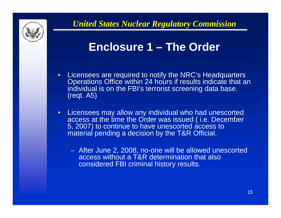

# **Enclosure 1 – The Order**

- Licensees are required to notify the NRC's Headquarters Operations Office within 24 hours if results indicate that an individual is on the FBI's terrorist screening data base. (reqt. A5)
- $\bullet$  Licensees may allow any individual who had unescorted access at the time the Order was issued ( i.e. December 5, 2007) to continue to have unescorted access to material pending a decision by the T&R Official.
	- After June 2, 2008, no-one will be allowed unescorted access without a T&R determination that also considered FBI criminal history results.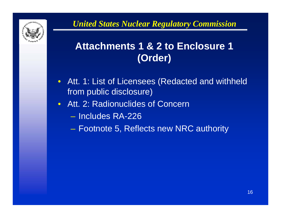

# **Attachments 1 & 2 to Enclosure 1 (Order)**

- Att. 1: List of Licensees (Redacted and withheld from public disclosure)
- Att. 2: Radionuclides of Concern
	- Includes RA-226
	- –Footnote 5, Reflects new NRC authority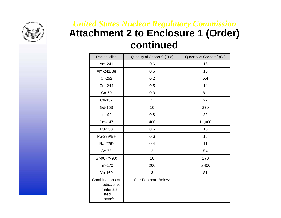

### *United States Nuclear Regulatory Commission* **Attachment 2 to Enclosure 1 (Order) continued**

| Radionuclide                                                                | Quantity of Concern <sup>1</sup> (TBq) | Quantity of Concern <sup>2</sup> (Ci) |
|-----------------------------------------------------------------------------|----------------------------------------|---------------------------------------|
| Am-241                                                                      | 0.6                                    | 16                                    |
| Am-241/Be                                                                   | 0.6                                    | 16                                    |
| Cf-252                                                                      | 0.2                                    | 5.4                                   |
| Cm-244                                                                      | 0.5                                    | 14                                    |
| Co-60                                                                       | 0.3                                    | 8.1                                   |
| Cs-137                                                                      | 1                                      | 27                                    |
| Gd-153                                                                      | 10                                     | 270                                   |
| Ir-192                                                                      | 0.8                                    | 22                                    |
| Pm-147                                                                      | 400                                    | 11,000                                |
| Pu-238                                                                      | 0.6                                    | 16                                    |
| Pu-239/Be                                                                   | 0.6                                    | 16                                    |
| Ra-226 <sup>5</sup>                                                         | 0.4                                    | 11                                    |
| Se-75                                                                       | $\overline{2}$                         | 54                                    |
| Sr-90 (Y-90)                                                                | 10                                     | 270                                   |
| Tm-170                                                                      | 200                                    | 5,400                                 |
| Yb-169                                                                      | 3                                      | 81                                    |
| Combinations of<br>radioactive<br>materials<br>listed<br>above <sup>3</sup> | See Footnote Below <sup>4</sup>        |                                       |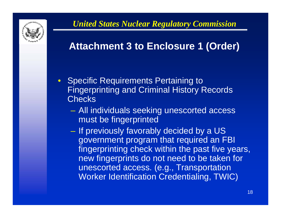

### **Attachment 3 to Enclosure 1 (Order)**

- Specific Requirements Pertaining to Fingerprinting and Criminal History Records **Checks** 
	- All individuals seeking unescorted access must be fingerprinted
	- $-$  If previously favorably decided by a US  $\,$ government program that required an FBI fingerprinting check within the past five years, new fingerprints do not need to be taken for unescorted access. (e.g., Transportation Worker Identification Credentialing, TWIC)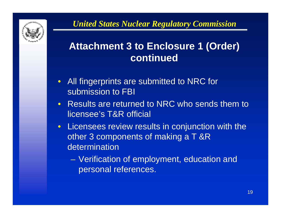

### **Attachment 3 to Enclosure 1 (Order) continued**

- All fingerprints are submitted to NRC for submission to FBI
- Results are returned to NRC who sends them to licensee's T&R official
- Licensees review results in conjunction with the other 3 components of making a T &R determination
	- – Verification of employment, education and personal references.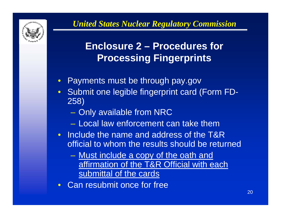

# **Enclosure 2 – Procedures for Processing Fingerprints**

- $\bullet$ Payments must be through pay.gov
- Submit one legible fingerprint card (Form FD-258)
	- Only available from NRC
	- Local law enforcement can take them
- Include the name and address of the T&R official to whom the results should be returned
	- <u>Must include a copy of the oath and</u> affirmation of the T&R Official with each submittal of the cards
- Can resubmit once for free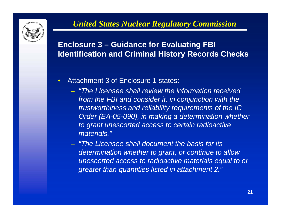

#### **Enclosure 3 – Guidance for Evaluating FBI Identification and Criminal History Records Checks**

- • Attachment 3 of Enclosure 1 states:
	- *"The Licensee shall review the information received from the FBI and consider it, in conjunction with the trustworthiness and reliability requirements of the IC Order (EA-05-090), in making a determination whether to grant unescorted access to certain radioactive materials."*
	- *"The Licensee shall document the basis for its determination whether to grant, or continue to allow unescorted access to radioactive materials equal to or greater than quantities listed in attachment 2."*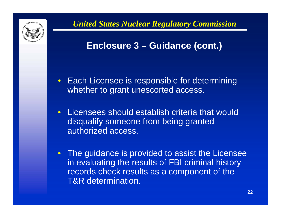

### **Enclosure 3 – Guidance (cont.)**

- Each Licensee is responsible for determining whether to grant unescorted access.
- $\bullet$  Licensees should establish criteria that would disqualify someone from being granted authorized access.
- The guidance is provided to assist the Licensee in evaluating the results of FBI criminal history records check results as a component of the T&R determination.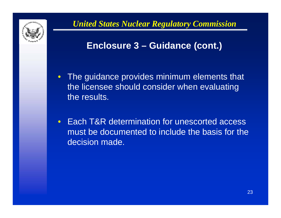

### **Enclosure 3 – Guidance (cont.)**

- The guidance provides minimum elements that the licensee should consider when evaluating the results.
- $\bullet$  Each T&R determination for unescorted access must be documented to include the basis for the decision made.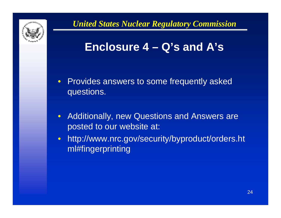

# **Enclosure 4 – Q's and A's**

- Provides answers to some frequently asked questions.
- $\bullet$  Additionally, new Questions and Answers are posted to our website at:
- http://www.nrc.gov/security/byproduct/orders.ht ml#fingerprinting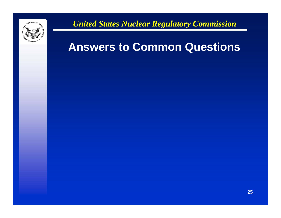

# **Answers to Common Questions**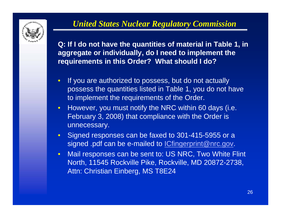

**Q: If I do not have the quantities of material in Table 1, in aggregate or individually, do I need to implement the requirements in this Order? What should I do?**

- $\bullet$  If you are authorized to possess, but do not actually possess the quantities listed in Table 1, you do not have to implement the requirements of the Order.
- $\bullet$ However, you must notify the NRC within 60 days (i.e. February 3, 2008) that compliance with the Order is unnecessary.
- $\bullet$  Signed responses can be faxed to 301-415-5955 or a signed .pdf can be e-mailed to *ICfingerprint@nrc.gov*.
- $\bullet$  Mail responses can be sent to: US NRC, Two White Flint North, 11545 Rockville Pike, Rockville, MD 20872-2738, Attn: Christian Einberg, MS T8E24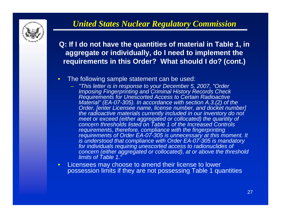

**Q: If I do not have the quantities of material in Table 1, in aggregate or individually, do I need to implement the requirements in this Order? What should I do? (cont.)**

- $\bullet$  The following sample statement can be used:
	- *"This letter is in response to your December 5, 2007, "Order Imposing Fingerprinting and Criminal History Records Check Requirements for Unescorted Access to Certain Radioactive Material" (EA-07-305). In accordance with section A.3.(2) of the Order, [enter Licensee name, license number, and docket number] the radioactive materials currently included in our inventory do not meet or exceed (either aggregated or collocated) the quantity of concern thresholds listed on Table 1 of the Increased Controls requirements, therefore, compliance with the fingerprinting requirements of Order EA-07-305 is unnecessary at this moment. It is understood that compliance with Order EA-07-305 is mandatory for individuals requiring unescorted access to radionuclides of concern (either aggregated or collocated), at or above the threshold limits of Table 1."*
- $\bullet$  Licensees may choose to amend their license to lower possession limits if they are not possessing Table 1 quantities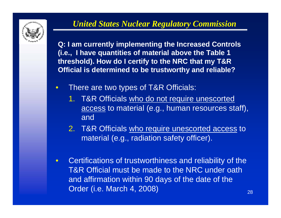

**Q: I am currently implementing the Increased Controls (i.e., I have quantities of material above the Table 1 threshold). How do I certify to the NRC that my T&R Official is determined to be trustworthy and reliable?**

- $\bullet$  There are two types of T&R Officials:
	- 1. T&R Officials who do not require unescorted access to material (e.g., human resources staff), and
	- 2. T&R Officials who require unescorted access to material (e.g., radiation safety officer).
- $\bullet$  Certifications of trustworthiness and reliability of the T&R Official must be made to the NRC under oath and affirmation within 90 days of the date of the Order (i.e. March 4, 2008)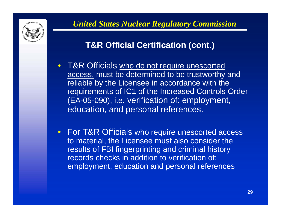

### **T&R Official Certification (cont.)**

- T&R Officials who do not require unescorted access, must be determined to be trustworthy and reliable by the Licensee in accordance with the requirements of IC1 of the Increased Controls Order (EA-05-090), i.e. verification of: employment, education, and personal references.
- **For T&R Officials who require unescorted access** to material, the Licensee must also consider the results of FBI fingerprinting and criminal history records checks in addition to verification of: employment, education and personal references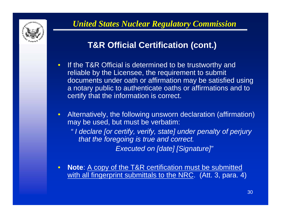

### **T&R Official Certification (cont.)**

- $\bullet$  If the T&R Official is determined to be trustworthy and reliable by the Licensee, the requirement to submit documents under oath or affirmation may be satisfied using a notary public to authenticate oaths or affirmations and to certify that the information is correct.
- Alternatively, the following unsworn declaration (affirmation) may be used, but must be verbatim:
	- *" I declare [or certify, verify, state] under penalty of perjury that the foregoing is true and correct. Executed on [date] [Signature]"*
- $\bullet$  **Note**: A copy of the T&R certification must be submitted with all fingerprint submittals to the NRC. (Att. 3, para. 4)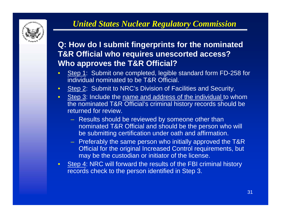

#### **Q: How do I submit fingerprints for the nominated T&R Official who requires unescorted access? Who approves the T&R Official?**

- $\bullet$ Step 1: Submit one completed, legible standard form FD-258 for individual nominated to be T&R Official.
- $\bullet$ Step 2: Submit to NRC's Division of Facilities and Security.
- • Step 3: Include the name and address of the individual to whom the nominated T&R Official's criminal history records should be returned for review.
	- Results should be reviewed by someone other than nominated T&R Official and should be the person who will be submitting certification under oath and affirmation.
	- Preferably the same person who initially approved the T&R Official for the original Increased Control requirements, but may be the custodian or initiator of the license.
- Step 4: NRC will forward the results of the FBI criminal history records check to the person identified in Step 3.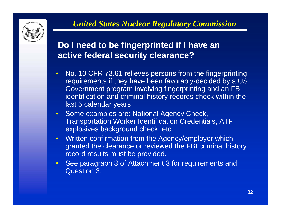

### **Do I need to be fingerprinted if I have an active federal security clearance?**

- $\bullet$  No. 10 CFR 73.61 relieves persons from the fingerprinting requirements if they have been favorably-decided by a US Government program involving fingerprinting and an FBI identification and criminal history records check within the last 5 calendar years
- $\bullet$  Some examples are: National Agency Check, Transportation Worker Identification Credentials, ATF explosives background check, etc.
- $\bullet$  Written confirmation from the Agency/employer which granted the clearance or reviewed the FBI criminal history record results must be provided.
- $\bullet$ See paragraph 3 of Attachment 3 for requirements and Question 3.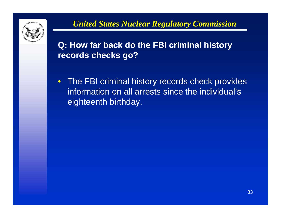

### **Q: How far back do the FBI criminal history records checks go?**

• The FBI criminal history records check provides information on all arrests since the individual's eighteenth birthday.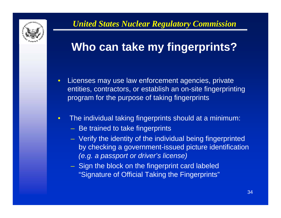

# **Who can take my fingerprints?**

- $\bullet$  Licenses may use law enforcement agencies, private entities, contractors, or establish an on-site fingerprinting program for the purpose of taking fingerprints
- • The individual taking fingerprints should at a minimum:
	- Be trained to take fingerprints
	- Verify the identity of the individual being fingerprinted by checking a government-issued picture identification *(e.g. a passport or driver's license)*
	- Sign the block on the fingerprint card labeled "Signature of Official Taking the Fingerprints"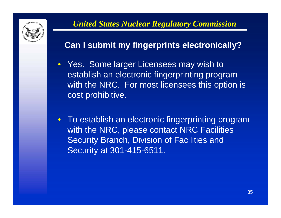

### **Can I submit my fingerprints electronically?**

- Yes. Some larger Licensees may wish to establish an electronic fingerprinting program with the NRC. For most licensees this option is cost prohibitive.
- To establish an electronic fingerprinting program with the NRC, please contact NRC Facilities **Security Branch, Division of Facilities and** Security at 301-415-6511.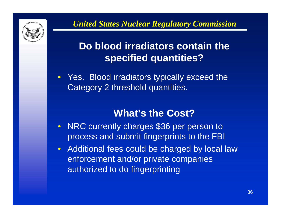

# **Do blood irradiators contain the specified quantities?**

• Yes. Blood irradiators typically exceed the Category 2 threshold quantities.

### **What's the Cost?**

- NRC currently charges \$36 per person to process and submit fingerprints to the FBI
- Additional fees could be charged by local law enforcement and/or private companies authorized to do fingerprinting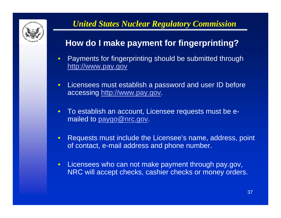

### **How do I make payment for fingerprinting?**

- $\bullet$  Payments for fingerprinting should be submitted through [http://www.pay.gov](http://www.pay.gov/)
- $\bullet$  Licensees must establish a password and user ID before accessing [http://www.pay.gov](http://www.pay.gov/).
- $\bullet$  To establish an account, Licensee requests must be emailed to [paygo@nrc.gov](mailto:paygo@nrc.gov).
- • Requests must include the Licensee's name, address, point of contact, e-mail address and phone number.
- $\bullet$  Licensees who can not make payment through pay.gov, NRC will accept checks, cashier checks or money orders.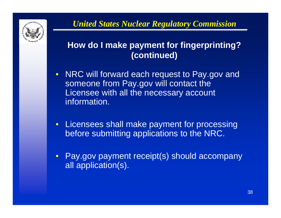

### **How do I make payment for fingerprinting? (continued)**

- $\bullet$  NRC will forward each request to Pay.gov and someone from Pay.gov will contact the Licensee with all the necessary account information.
- Licensees shall make payment for processing before submitting applications to the NRC.
- $\bullet$  Pay.gov payment receipt(s) should accompany all application(s).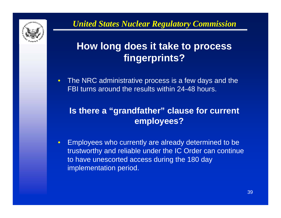

# **How long does it take to process fingerprints?**

 $\bullet$ The NRC administrative process is a few days and the FBI turns around the results within 24-48 hours.

### **Is there a "grandfather" clause for current employees?**

• Employees who currently are already determined to be trustworthy and reliable under the IC Order can continue to have unescorted access during the 180 day implementation period.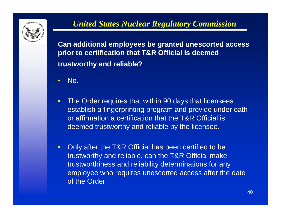

**Can additional employees be granted unescorted access prior to certification that T&R Official is deemed trustworthy and reliable?**

- •No.
- $\bullet$  The Order requires that within 90 days that licensees establish a fingerprinting program and provide under oath or affirmation a certification that the T&R Official is deemed trustworthy and reliable by the licensee.
- $\bullet$  Only after the T&R Official has been certified to be trustworthy and reliable, can the T&R Official make trustworthiness and reliability determinations for any employee who requires unescorted access after the date of the Order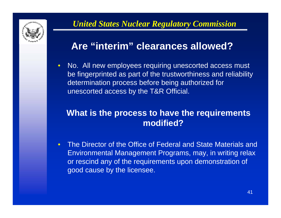

### **Are "interim" clearances allowed?**

 $\bullet$  No. All new employees requiring unescorted access must be fingerprinted as part of the trustworthiness and reliability determination process before being authorized for unescorted access by the T&R Official.

#### **What is the process to have the requirements modified?**

 $\bullet$  The Director of the Office of Federal and State Materials and Environmental Management Programs, may, in writing relax or rescind any of the requirements upon demonstration of good cause by the licensee.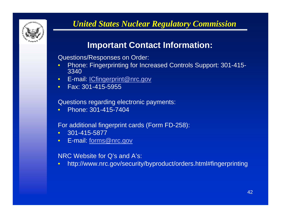

### **Important Contact Information:**

Questions/Responses on Order:

- $\bullet$  Phone: Fingerprinting for Increased Controls Support: 301-415- 3340
- $\bullet$ E-mail: [ICfingerprint@nrc.gov](mailto:ICfingerprint@nrc.gov)
- Fax: 301-415-5955

Questions regarding electronic payments:

 $\bullet$ Phone: 301-415-7404

For additional fingerprint cards (Form FD-258):

- $\bullet$ 301-415-5877
- $\bullet$ E-mail: [forms@nrc.gov](mailto:forms@nrc.gov)

NRC Website for Q's and A's:

 $\bullet$ http://www.nrc.gov/security/byproduct/orders.html#fingerprinting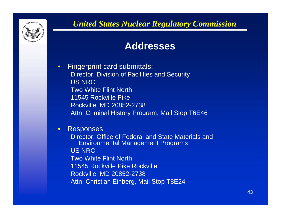

### **Addresses**

 $\bullet$  Fingerprint card submittals: Director, Division of Facilities and Security US NRCTwo White Flint North11545 Rockville PikeRockville, MD 20852-2738 Attn: Criminal History Program, Mail Stop T6E46

 $\bullet$ Responses:

Director, Office of Federal and State Materials and Environmental Management Programs US NRCTwo White Flint North11545 Rockville Pike RockvilleRockville, MD 20852-2738 Attn: Christian Einberg, Mail Stop T8E24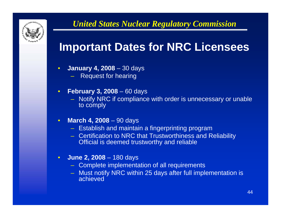

# **Important Dates for NRC Licensees**

- $\bullet$  **January 4, 2008** – 30 days
	- Request for hearing
- $\bullet$  **February 3, 2008** – 60 days
	- Notify NRC if compliance with order is unnecessary or unable to comply
- $\bullet$  **March 4, 2008** – 90 days
	- Establish and maintain a fingerprinting program
	- Certification to NRC that Trustworthiness and Reliability Official is deemed trustworthy and reliable
- $\bullet$  **June 2, 2008** – 180 days
	- Complete implementation of all requirements
	- Must notify NRC within 25 days after full implementation is achieved